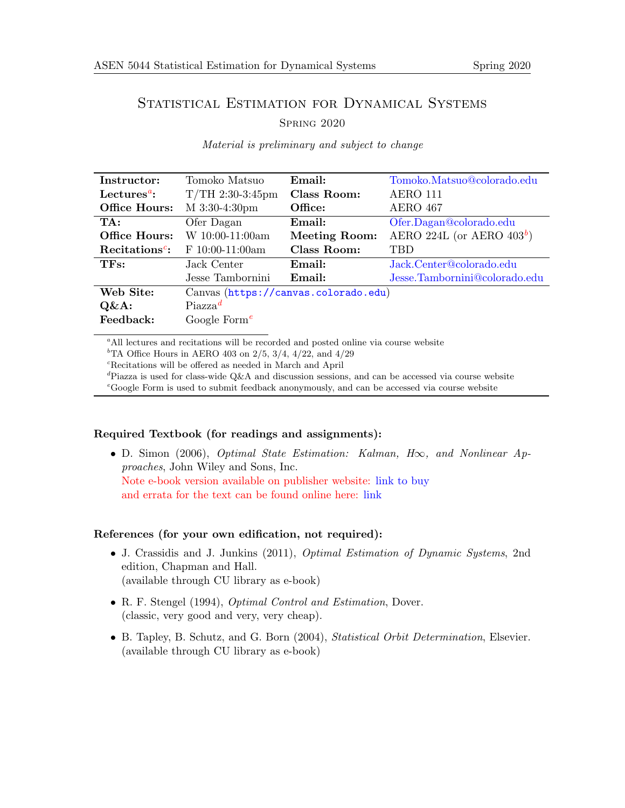# STATISTICAL ESTIMATION FOR DYNAMICAL SYSTEMS

# Spring 2020

| Instructor:                | Tomoko Matsuo                        | Email:               | Tomoko.Matsuo@colorado.edu    |  |
|----------------------------|--------------------------------------|----------------------|-------------------------------|--|
| Lectures <sup>a</sup> :    | $T/TH$ 2:30-3:45pm                   | Class Room:          | AERO 111                      |  |
| Office Hours:              | M 3:30-4:30pm                        | Office:              | <b>AERO</b> 467               |  |
| TA:                        | Ofer Dagan                           | Email:               | Ofer.Dagan@colorado.edu       |  |
| Office Hours:              | $W$ 10:00-11:00am                    | <b>Meeting Room:</b> | AERO 224L (or AERO $403^b$ )  |  |
| Recitations <sup>c</sup> : | $F 10:00-11:00am$                    | Class Room:          | <b>TBD</b>                    |  |
| TFs:                       | Jack Center                          | Email:               | Jack.Center@colorado.edu      |  |
|                            | Jesse Tambornini                     | Email:               | Jesse.Tambornini@colorado.edu |  |
| Web Site:                  | Canvas (https://canvas.colorado.edu) |                      |                               |  |
| $Q\&A$ :                   | $Piazza^d$                           |                      |                               |  |
| Feedback:                  | Google Form <sup>e</sup>             |                      |                               |  |

Material is preliminary and subject to change

<span id="page-0-0"></span><sup>a</sup>All lectures and recitations will be recorded and posted online via course website

<span id="page-0-1"></span><sup>b</sup>TA Office Hours in AERO 403 on  $2/5$ ,  $3/4$ ,  $4/22$ , and  $4/29$ 

<span id="page-0-2"></span> $^c\!$  Recitations will be offered as needed in March and April

<span id="page-0-3"></span><sup>d</sup>Piazza is used for class-wide Q&A and discussion sessions, and can be accessed via course website

<span id="page-0-4"></span><sup>e</sup>Google Form is used to submit feedback anonymously, and can be accessed via course website

# Required Textbook (for readings and assignments):

• D. Simon (2006), Optimal State Estimation: Kalman, H∞, and Nonlinear Approaches, John Wiley and Sons, Inc. Note e-book version available on publisher website: [link to buy](https://www.wiley.com/WileyCDA/Section/id-831494.html) and errata for the text can be found online here: [link](http://academic.csuohio.edu/simond/estimation/errata.pdf)

# References (for your own edification, not required):

- J. Crassidis and J. Junkins (2011), *Optimal Estimation of Dynamic Systems*, 2nd edition, Chapman and Hall. (available through CU library as e-book)
- R. F. Stengel (1994), Optimal Control and Estimation, Dover. (classic, very good and very, very cheap).
- B. Tapley, B. Schutz, and G. Born (2004), Statistical Orbit Determination, Elsevier. (available through CU library as e-book)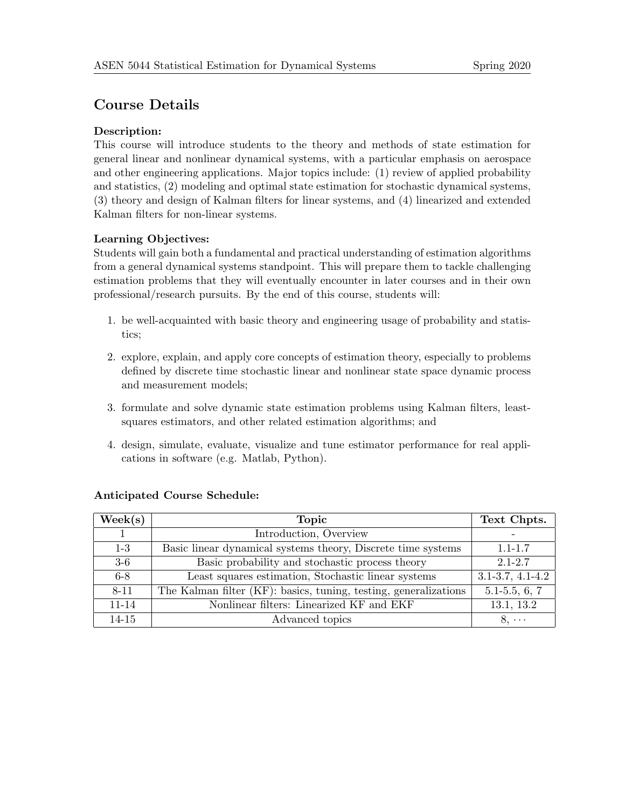# Course Details

# Description:

This course will introduce students to the theory and methods of state estimation for general linear and nonlinear dynamical systems, with a particular emphasis on aerospace and other engineering applications. Major topics include: (1) review of applied probability and statistics, (2) modeling and optimal state estimation for stochastic dynamical systems, (3) theory and design of Kalman filters for linear systems, and (4) linearized and extended Kalman filters for non-linear systems.

# Learning Objectives:

Students will gain both a fundamental and practical understanding of estimation algorithms from a general dynamical systems standpoint. This will prepare them to tackle challenging estimation problems that they will eventually encounter in later courses and in their own professional/research pursuits. By the end of this course, students will:

- 1. be well-acquainted with basic theory and engineering usage of probability and statistics;
- 2. explore, explain, and apply core concepts of estimation theory, especially to problems defined by discrete time stochastic linear and nonlinear state space dynamic process and measurement models;
- 3. formulate and solve dynamic state estimation problems using Kalman filters, leastsquares estimators, and other related estimation algorithms; and
- 4. design, simulate, evaluate, visualize and tune estimator performance for real applications in software (e.g. Matlab, Python).

| $\text{Week}(s)$ | <b>Topic</b>                                                     | Text Chpts.            |
|------------------|------------------------------------------------------------------|------------------------|
|                  | Introduction, Overview                                           |                        |
| $1-3$            | Basic linear dynamical systems theory, Discrete time systems     | $1.1 - 1.7$            |
| $3-6$            | Basic probability and stochastic process theory                  | $2.1 - 2.7$            |
| $6 - 8$          | Least squares estimation, Stochastic linear systems              | $3.1 - 3.7, 4.1 - 4.2$ |
| 8-11             | The Kalman filter (KF): basics, tuning, testing, generalizations | $5.1 - 5.5, 6, 7$      |
| 11-14            | Nonlinear filters: Linearized KF and EKF                         | 13.1, 13.2             |
| 14-15            | Advanced topics                                                  | $8, \cdots$            |

# Anticipated Course Schedule: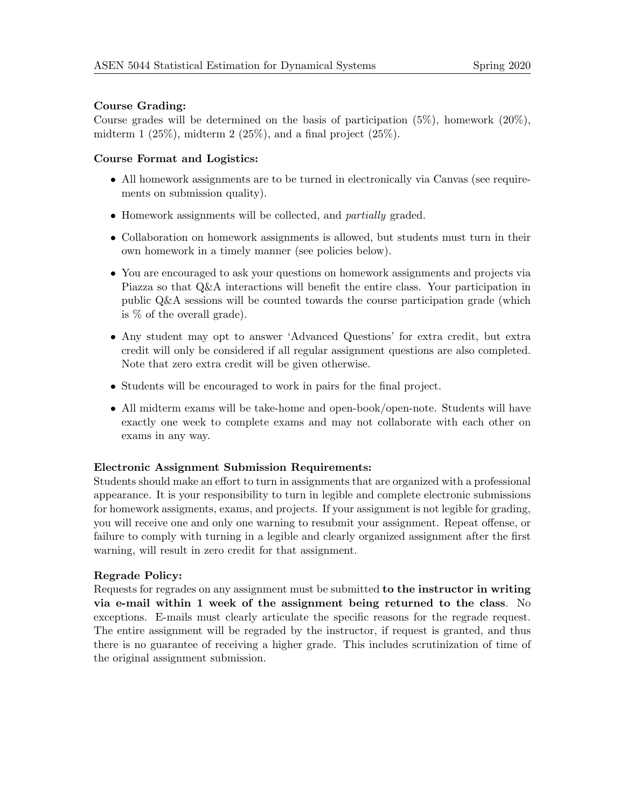#### Course Grading:

Course grades will be determined on the basis of participation  $(5\%)$ , homework  $(20\%)$ , midterm 1  $(25\%)$ , midterm 2  $(25\%)$ , and a final project  $(25\%)$ .

#### Course Format and Logistics:

- All homework assignments are to be turned in electronically via Canvas (see requirements on submission quality).
- Homework assignments will be collected, and *partially* graded.
- Collaboration on homework assignments is allowed, but students must turn in their own homework in a timely manner (see policies below).
- You are encouraged to ask your questions on homework assignments and projects via Piazza so that Q&A interactions will benefit the entire class. Your participation in public Q&A sessions will be counted towards the course participation grade (which is % of the overall grade).
- Any student may opt to answer 'Advanced Questions' for extra credit, but extra credit will only be considered if all regular assignment questions are also completed. Note that zero extra credit will be given otherwise.
- Students will be encouraged to work in pairs for the final project.
- All midterm exams will be take-home and open-book/open-note. Students will have exactly one week to complete exams and may not collaborate with each other on exams in any way.

#### Electronic Assignment Submission Requirements:

Students should make an effort to turn in assignments that are organized with a professional appearance. It is your responsibility to turn in legible and complete electronic submissions for homework assigments, exams, and projects. If your assignment is not legible for grading, you will receive one and only one warning to resubmit your assignment. Repeat offense, or failure to comply with turning in a legible and clearly organized assignment after the first warning, will result in zero credit for that assignment.

# Regrade Policy:

Requests for regrades on any assignment must be submitted to the instructor in writing via e-mail within 1 week of the assignment being returned to the class. No exceptions. E-mails must clearly articulate the specific reasons for the regrade request. The entire assignment will be regraded by the instructor, if request is granted, and thus there is no guarantee of receiving a higher grade. This includes scrutinization of time of the original assignment submission.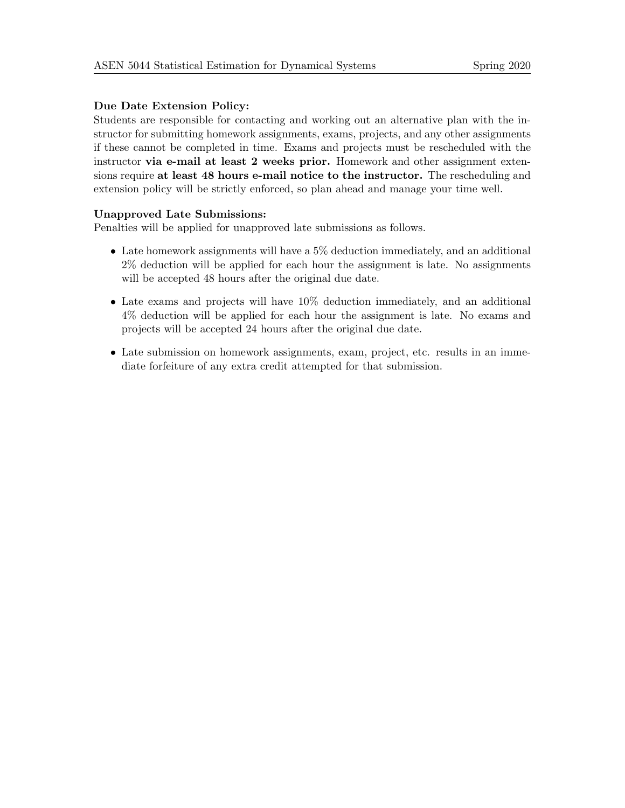# Due Date Extension Policy:

Students are responsible for contacting and working out an alternative plan with the instructor for submitting homework assignments, exams, projects, and any other assignments if these cannot be completed in time. Exams and projects must be rescheduled with the instructor via e-mail at least 2 weeks prior. Homework and other assignment extensions require at least 48 hours e-mail notice to the instructor. The rescheduling and extension policy will be strictly enforced, so plan ahead and manage your time well.

### Unapproved Late Submissions:

Penalties will be applied for unapproved late submissions as follows.

- Late homework assignments will have a 5% deduction immediately, and an additional 2% deduction will be applied for each hour the assignment is late. No assignments will be accepted 48 hours after the original due date.
- Late exams and projects will have 10% deduction immediately, and an additional 4% deduction will be applied for each hour the assignment is late. No exams and projects will be accepted 24 hours after the original due date.
- Late submission on homework assignments, exam, project, etc. results in an immediate forfeiture of any extra credit attempted for that submission.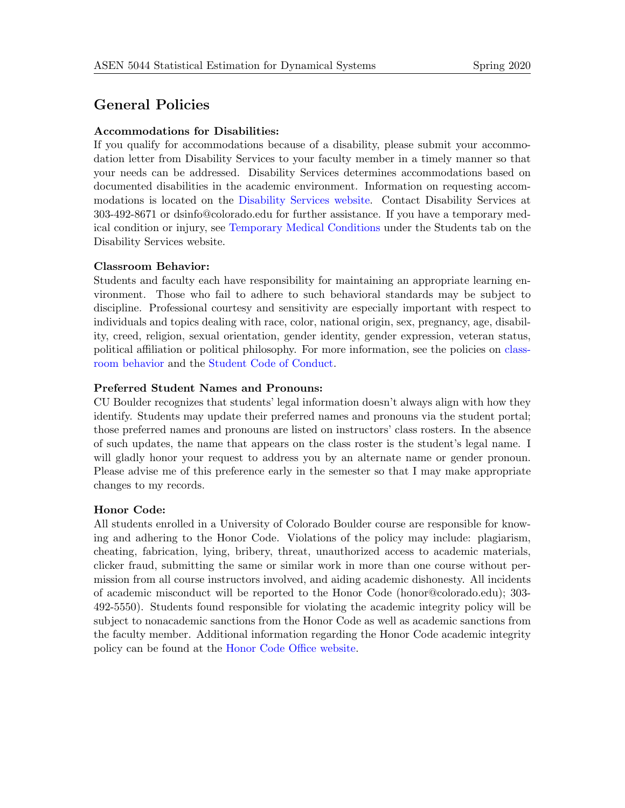# General Policies

## Accommodations for Disabilities:

If you qualify for accommodations because of a disability, please submit your accommodation letter from Disability Services to your faculty member in a timely manner so that your needs can be addressed. Disability Services determines accommodations based on documented disabilities in the academic environment. Information on requesting accommodations is located on the [Disability Services website.](http://www.colorado.edu/disabilityservices/students) Contact Disability Services at 303-492-8671 or dsinfo@colorado.edu for further assistance. If you have a temporary medical condition or injury, see [Temporary Medical Conditions](http://www.colorado.edu/disabilityservices/students/temporary-medical-conditions) under the Students tab on the Disability Services website.

### Classroom Behavior:

Students and faculty each have responsibility for maintaining an appropriate learning environment. Those who fail to adhere to such behavioral standards may be subject to discipline. Professional courtesy and sensitivity are especially important with respect to individuals and topics dealing with race, color, national origin, sex, pregnancy, age, disability, creed, religion, sexual orientation, gender identity, gender expression, veteran status, political affiliation or political philosophy. For more information, see the policies on [class](https://www.colorado.edu/policies/student-classroom-course-related-behavior)[room behavior](https://www.colorado.edu/policies/student-classroom-course-related-behavior) and the [Student Code of Conduct.](https://www.colorado.edu/sccr/)

### Preferred Student Names and Pronouns:

CU Boulder recognizes that students' legal information doesn't always align with how they identify. Students may update their preferred names and pronouns via the student portal; those preferred names and pronouns are listed on instructors' class rosters. In the absence of such updates, the name that appears on the class roster is the student's legal name. I will gladly honor your request to address you by an alternate name or gender pronoun. Please advise me of this preference early in the semester so that I may make appropriate changes to my records.

#### Honor Code:

All students enrolled in a University of Colorado Boulder course are responsible for knowing and adhering to the Honor Code. Violations of the policy may include: plagiarism, cheating, fabrication, lying, bribery, threat, unauthorized access to academic materials, clicker fraud, submitting the same or similar work in more than one course without permission from all course instructors involved, and aiding academic dishonesty. All incidents of academic misconduct will be reported to the Honor Code (honor@colorado.edu); 303- 492-5550). Students found responsible for violating the academic integrity policy will be subject to nonacademic sanctions from the Honor Code as well as academic sanctions from the faculty member. Additional information regarding the Honor Code academic integrity policy can be found at the [Honor Code Office website.](https://www.colorado.edu/sccr/honor-code)